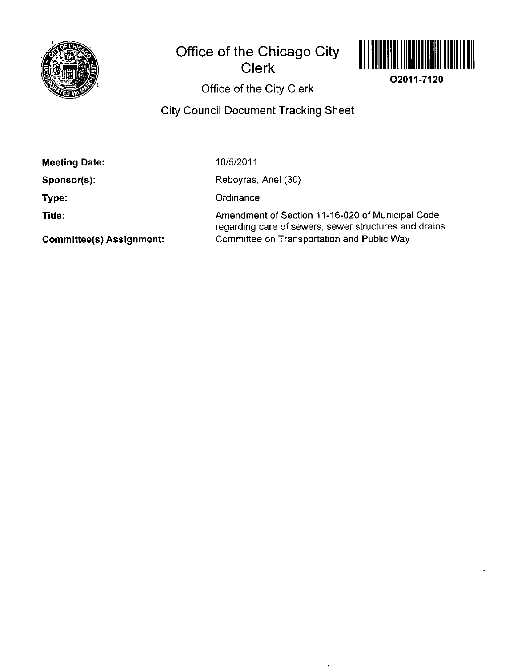

# **Office of the Chicago City Clerk**



**02011-7120** 

**Office of the City Clerk** 

# **City Council Document Tracking Sheet**

10/5/2011

**Sponsor(s):** 

**Type:** 

**Title:** 

Reboyras, Anel (30)

**Ordinance** 

Amendment of Section 11-16-020 of Municipal Code regarding care of sewers, sewer structures and drains Committee on Transportation and Public Way

ŧ

**Committee(s) Assignment:**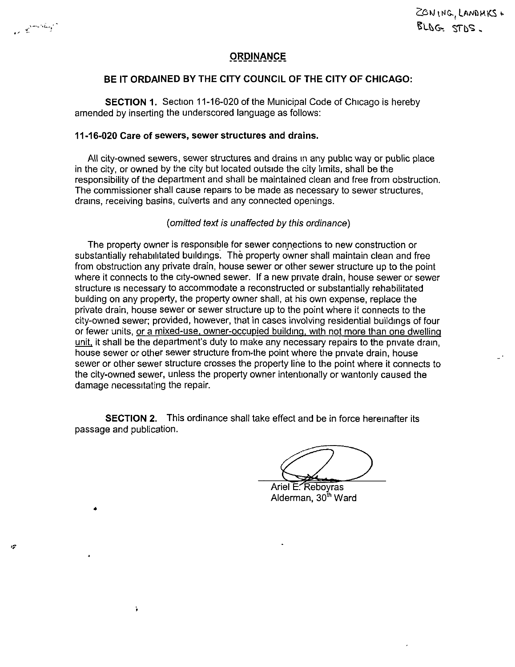r2

 $\ddot{\phantom{a}}$ 

## **ORDINANCE**

### **BE IT ORDAINED BY THE CITY COUNCIL OF THE CITY OF CHICAGO:**

SECTION 1. Section 11-16-020 of the Municipal Code of Chicago is hereby amended by inserting the underscored language as follows:

#### **11-16-020 Care of sewers, sewer structures and drains.**

All city-owned sewers, sewer structures and drains in any public way or public place in the city, or owned by the city but located outside the city limits, shall be the responsibility of the department and shall be maintained clean and free from obstruction. The commissioner shall cause repairs to be made as necessary to sewer structures, drains, receiving basins, culverts and any connected openings.

#### [omitted text is unaffected by this ordinance)

The property owner is responsible for sewer connections to new construction or substantially rehabilitated buildings. The property owner shall maintain clean and free from obstruction any private drain, house sewer or other sewer structure up to the point where it connects to the city-owned sewer. If a new private drain, house sewer or sewer structure is necessary to accommodate a reconstructed or substantially rehabilitated building on any property, the property owner shall, at his own expense, replace the private drain, house sewer or sewer structure up to the point where it connects to the city-owned sewer; provided, however, that in cases involving residential buildings of four or fewer units, or a mixed-use, owner-occupied building, with not more than one dwellina unit, it shall be the department's duty to make any necessary repairs to the private drain, house sewer or other sewer structure from the point where the private drain, house sewer or other sewer structure crosses the property line to the point where it connects to the city-owned sewer, unless the property owner intentionally or wantonly caused the damage necessitating the repair.

SECTION 2. This ordinance shall take effect and be in force hereinafter its passage and publication.

Ariel E. Reboyras Alderman, 30<sup>th</sup> Ward